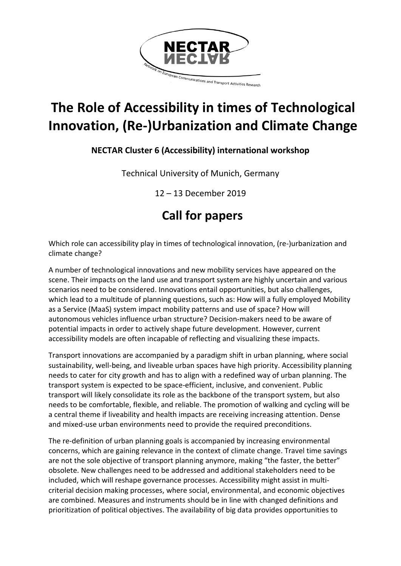

# **The Role of Accessibility in times of Technological Innovation, (Re-)Urbanization and Climate Change**

### **NECTAR Cluster 6 (Accessibility) international workshop**

Technical University of Munich, Germany

12 – 13 December 2019

## **Call for papers**

Which role can accessibility play in times of technological innovation, (re-)urbanization and climate change?

A number of technological innovations and new mobility services have appeared on the scene. Their impacts on the land use and transport system are highly uncertain and various scenarios need to be considered. Innovations entail opportunities, but also challenges, which lead to a multitude of planning questions, such as: How will a fully employed Mobility as a Service (MaaS) system impact mobility patterns and use of space? How will autonomous vehicles influence urban structure? Decision-makers need to be aware of potential impacts in order to actively shape future development. However, current accessibility models are often incapable of reflecting and visualizing these impacts.

Transport innovations are accompanied by a paradigm shift in urban planning, where social sustainability, well-being, and liveable urban spaces have high priority. Accessibility planning needs to cater for city growth and has to align with a redefined way of urban planning. The transport system is expected to be space-efficient, inclusive, and convenient. Public transport will likely consolidate its role as the backbone of the transport system, but also needs to be comfortable, flexible, and reliable. The promotion of walking and cycling will be a central theme if liveability and health impacts are receiving increasing attention. Dense and mixed-use urban environments need to provide the required preconditions.

The re-definition of urban planning goals is accompanied by increasing environmental concerns, which are gaining relevance in the context of climate change. Travel time savings are not the sole objective of transport planning anymore, making "the faster, the better" obsolete. New challenges need to be addressed and additional stakeholders need to be included, which will reshape governance processes. Accessibility might assist in multicriterial decision making processes, where social, environmental, and economic objectives are combined. Measures and instruments should be in line with changed definitions and prioritization of political objectives. The availability of big data provides opportunities to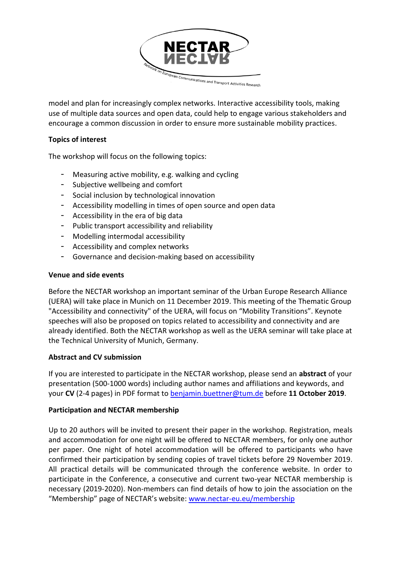

model and plan for increasingly complex networks. Interactive accessibility tools, making use of multiple data sources and open data, could help to engage various stakeholders and encourage a common discussion in order to ensure more sustainable mobility practices.

#### **Topics of interest**

The workshop will focus on the following topics:

- Measuring active mobility, e.g. walking and cycling
- Subjective wellbeing and comfort
- Social inclusion by technological innovation
- Accessibility modelling in times of open source and open data
- Accessibility in the era of big data
- Public transport accessibility and reliability
- Modelling intermodal accessibility
- Accessibility and complex networks
- Governance and decision-making based on accessibility

#### **Venue and side events**

Before the NECTAR workshop an important seminar of the Urban Europe Research Alliance (UERA) will take place in Munich on 11 December 2019. This meeting of the Thematic Group "Accessibility and connectivity" of the UERA, will focus on "Mobility Transitions". Keynote speeches will also be proposed on topics related to accessibility and connectivity and are already identified. Both the NECTAR workshop as well as the UERA seminar will take place at the Technical University of Munich, Germany.

#### **Abstract and CV submission**

If you are interested to participate in the NECTAR workshop, please send an **abstract** of your presentation (500-1000 words) including author names and affiliations and keywords, and your **CV** (2-4 pages) in PDF format to [benjamin.buettner@tum.de](mailto:benjamin.buettner@tum.de) before **11 October 2019**.

#### **Participation and NECTAR membership**

Up to 20 authors will be invited to present their paper in the workshop. Registration, meals and accommodation for one night will be offered to NECTAR members, for only one author per paper. One night of hotel accommodation will be offered to participants who have confirmed their participation by sending copies of travel tickets before 29 November 2019. All practical details will be communicated through the conference website. In order to participate in the Conference, a consecutive and current two-year NECTAR membership is necessary (2019-2020). Non-members can find details of how to join the association on the "Membership" page of NECTAR's website: [www.nectar-eu.eu/membership](http://www.nectar-eu.eu/membership)